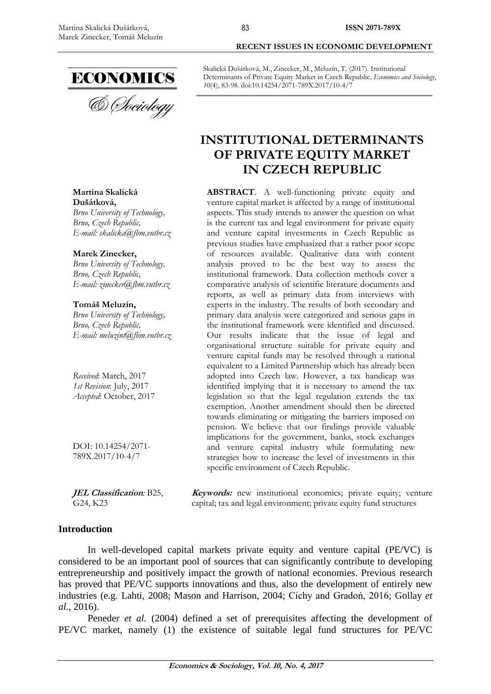

#### **Martina Skalická Dušátková,**

*Brno University of Technology, [Brno,](https://en.wikipedia.org/wiki/Podgorica) Czech Republic, E-mail: skalicka@fbm.vutbr.cz*

#### **Marek Zinecker,**

*Brno University of Technology, [Brno,](https://en.wikipedia.org/wiki/Podgorica) Czech Republic, E-mail: zinecker@fbm.vutbr.cz*

#### **Tomáš Meluzín,**

*Brno University of Technology, [Brno,](https://en.wikipedia.org/wiki/Podgorica) Czech Republic, E-mail: meluzint@fbm.vutbr.cz*

*Received*: March, 2017 *1st Revision*: July, 2017 *Accepted*: October, 2017

DOI: 10.14254/2071- 789X.2017/10-4/7

**JEL Classification***:* B25, G24, K23

# **Introduction**

**RECENT ISSUES IN ECONOMIC DEVELOPMENT**

Skalická Dušátková, M., Zinecker, M., Meluzín, T. (2017). Institutional Determinants of Private Equity Market in Czech Republic. *Economics and Sociology*, *10*(4), 83-98. doi:10.14254/2071-789X.2017/10-4/7

# **INSTITUTIONAL DETERMINANTS OF PRIVATE EQUITY MARKET IN CZECH REPUBLIC**

**ABSTRACT**. A well-functioning private equity and venture capital market is affected by a range of institutional aspects. This study intends to answer the question on what is the current tax and legal environment for private equity and venture capital investments in Czech Republic as previous studies have emphasized that a rather poor scope of resources available. Qualitative data with content analysis proved to be the best way to assess the institutional framework. Data collection methods cover a comparative analysis of scientific literature documents and reports, as well as primary data from interviews with experts in the industry. The results of both secondary and primary data analysis were categorized and serious gaps in the institutional framework were identified and discussed. Our results indicate that the issue of legal and organisational structure suitable for private equity and venture capital funds may be resolved through a national equivalent to a Limited Partnership which has already been adopted into Czech law. However, a tax handicap was identified implying that it is necessary to amend the tax legislation so that the legal regulation extends the tax exemption. Another amendment should then be directed towards eliminating or mitigating the barriers imposed on pension. We believe that our findings provide valuable implications for the government, banks, stock exchanges and venture capital industry while formulating new strategies how to increase the level of investments in this specific environment of Czech Republic.

**Keywords:** new institutional economics; private equity; venture capital; tax and legal environment; private equity fund structures

In well-developed capital markets private equity and venture capital (PE/VC) is considered to be an important pool of sources that can significantly contribute to developing entrepreneurship and positively impact the growth of national economies. Previous research has proved that PE/VC supports innovations and thus, also the development of entirely new industries (e.g. Lahti, 2008; Mason and Harrison, 2004; Cichy and Gradoń, 2016; Gollay *et al.*, 2016).

Peneder *et al.* (2004) defined a set of prerequisites affecting the development of PE/VC market, namely (1) the existence of suitable legal fund structures for PE/VC

83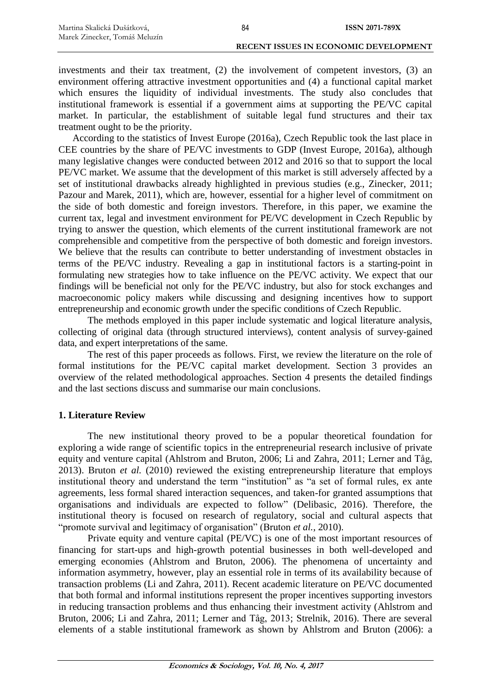investments and their tax treatment, (2) the involvement of competent investors, (3) an environment offering attractive investment opportunities and (4) a functional capital market which ensures the liquidity of individual investments. The study also concludes that institutional framework is essential if a government aims at supporting the PE/VC capital market. In particular, the establishment of suitable legal fund structures and their tax treatment ought to be the priority.

According to the statistics of Invest Europe (2016a), Czech Republic took the last place in CEE countries by the share of PE/VC investments to GDP (Invest Europe, 2016a), although many legislative changes were conducted between 2012 and 2016 so that to support the local PE/VC market. We assume that the development of this market is still adversely affected by a set of institutional drawbacks already highlighted in previous studies (e.g., Zinecker, 2011; Pazour and Marek, 2011), which are, however, essential for a higher level of commitment on the side of both domestic and foreign investors. Therefore, in this paper, we examine the current tax, legal and investment environment for PE/VC development in Czech Republic by trying to answer the question, which elements of the current institutional framework are not comprehensible and competitive from the perspective of both domestic and foreign investors. We believe that the results can contribute to better understanding of investment obstacles in terms of the PE/VC industry. Revealing a gap in institutional factors is a starting-point in formulating new strategies how to take influence on the PE/VC activity. We expect that our findings will be beneficial not only for the PE/VC industry, but also for stock exchanges and macroeconomic policy makers while discussing and designing incentives how to support entrepreneurship and economic growth under the specific conditions of Czech Republic.

The methods employed in this paper include systematic and logical literature analysis, collecting of original data (through structured interviews), content analysis of survey-gained data, and expert interpretations of the same.

The rest of this paper proceeds as follows. First, we review the literature on the role of formal institutions for the PE/VC capital market development. Section 3 provides an overview of the related methodological approaches. Section 4 presents the detailed findings and the last sections discuss and summarise our main conclusions.

## **1. Literature Review**

The new institutional theory proved to be a popular theoretical foundation for exploring a wide range of scientific topics in the entrepreneurial research inclusive of private equity and venture capital (Ahlstrom and Bruton, 2006; Li and Zahra, 2011; Lerner and Tåg, 2013). Bruton *et al.* (2010) reviewed the existing entrepreneurship literature that employs institutional theory and understand the term "institution" as "a set of formal rules, ex ante agreements, less formal shared interaction sequences, and taken-for granted assumptions that organisations and individuals are expected to follow" (Delibasic, 2016). Therefore, the institutional theory is focused on research of regulatory, social and cultural aspects that "promote survival and legitimacy of organisation" (Bruton *et al.*, 2010).

Private equity and venture capital (PE/VC) is one of the most important resources of financing for start-ups and high-growth potential businesses in both well-developed and emerging economies (Ahlstrom and Bruton, 2006). The phenomena of uncertainty and information asymmetry, however, play an essential role in terms of its availability because of transaction problems (Li and Zahra, 2011). Recent academic literature on PE/VC documented that both formal and informal institutions represent the proper incentives supporting investors in reducing transaction problems and thus enhancing their investment activity (Ahlstrom and Bruton, 2006; Li and Zahra, 2011; Lerner and Tåg, 2013; Strelnik, 2016). There are several elements of a stable institutional framework as shown by Ahlstrom and Bruton (2006): a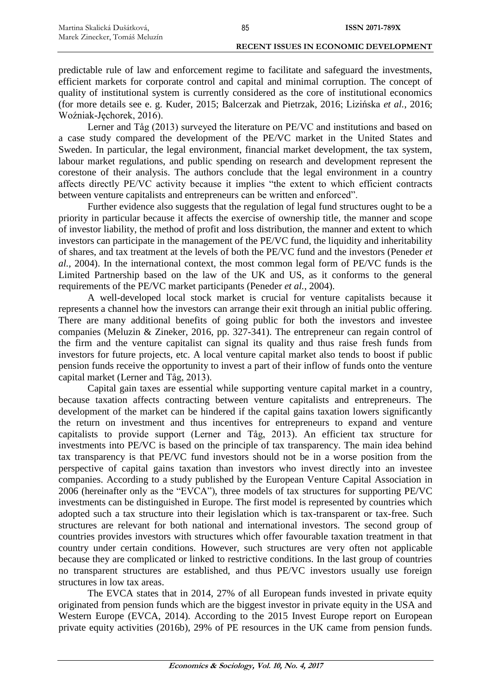predictable rule of law and enforcement regime to facilitate and safeguard the investments, efficient markets for corporate control and capital and minimal corruption. The concept of quality of institutional system is currently considered as the core of institutional economics (for more details see e. g. Kuder, 2015; Balcerzak and Pietrzak, 2016; Lizińska *et al.*, 2016; Woźniak-Jęchorek, 2016).

Lerner and Tåg (2013) surveyed the literature on PE/VC and institutions and based on a case study compared the development of the PE/VC market in the United States and Sweden. In particular, the legal environment, financial market development, the tax system, labour market regulations, and public spending on research and development represent the corestone of their analysis. The authors conclude that the legal environment in a country affects directly PE/VC activity because it implies "the extent to which efficient contracts between venture capitalists and entrepreneurs can be written and enforced".

Further evidence also suggests that the regulation of legal fund structures ought to be a priority in particular because it affects the exercise of ownership title, the manner and scope of investor liability, the method of profit and loss distribution, the manner and extent to which investors can participate in the management of the PE/VC fund, the liquidity and inheritability of shares, and tax treatment at the levels of both the PE/VC fund and the investors (Peneder *et al.*, 2004). In the international context, the most common legal form of PE/VC funds is the Limited Partnership based on the law of the UK and US, as it conforms to the general requirements of the PE/VC market participants (Peneder *et al.*, 2004).

A well-developed local stock market is crucial for venture capitalists because it represents a channel how the investors can arrange their exit through an initial public offering. There are many additional benefits of going public for both the investors and investee companies (Meluzin & Zineker, 2016, pp. 327-341). The entrepreneur can regain control of the firm and the venture capitalist can signal its quality and thus raise fresh funds from investors for future projects, etc. A local venture capital market also tends to boost if public pension funds receive the opportunity to invest a part of their inflow of funds onto the venture capital market (Lerner and Tåg, 2013).

Capital gain taxes are essential while supporting venture capital market in a country, because taxation affects contracting between venture capitalists and entrepreneurs. The development of the market can be hindered if the capital gains taxation lowers significantly the return on investment and thus incentives for entrepreneurs to expand and venture capitalists to provide support (Lerner and Tåg, 2013). An efficient tax structure for investments into PE/VC is based on the principle of tax transparency. The main idea behind tax transparency is that PE/VC fund investors should not be in a worse position from the perspective of capital gains taxation than investors who invest directly into an investee companies. According to a study published by the European Venture Capital Association in 2006 (hereinafter only as the "EVCA"), three models of tax structures for supporting PE/VC investments can be distinguished in Europe. The first model is represented by countries which adopted such a tax structure into their legislation which is tax-transparent or tax-free. Such structures are relevant for both national and international investors. The second group of countries provides investors with structures which offer favourable taxation treatment in that country under certain conditions. However, such structures are very often not applicable because they are complicated or linked to restrictive conditions. In the last group of countries no transparent structures are established, and thus PE/VC investors usually use foreign structures in low tax areas.

The EVCA states that in 2014, 27% of all European funds invested in private equity originated from pension funds which are the biggest investor in private equity in the USA and Western Europe (EVCA, 2014). According to the 2015 Invest Europe report on European private equity activities (2016b), 29% of PE resources in the UK came from pension funds.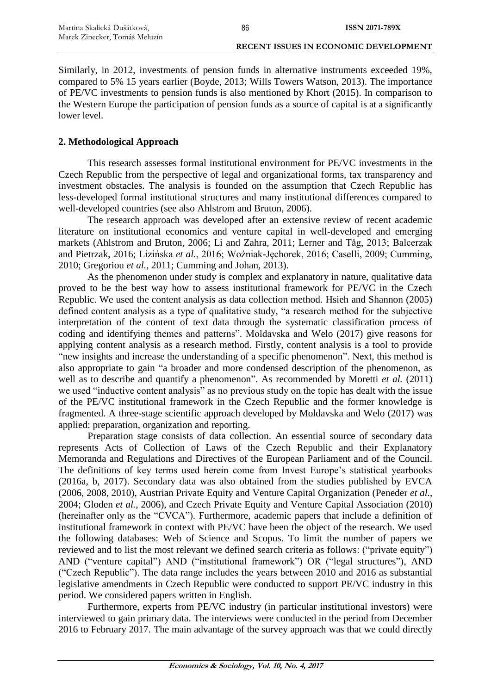Similarly, in 2012, investments of pension funds in alternative instruments exceeded 19%, compared to 5% 15 years earlier (Boyde, 2013; Wills Towers Watson, 2013). The importance of PE/VC investments to pension funds is also mentioned by Khort (2015). In comparison to the Western Europe the participation of pension funds as a source of capital is at a significantly lower level.

86

## **2. Methodological Approach**

This research assesses formal institutional environment for PE/VC investments in the Czech Republic from the perspective of legal and organizational forms, tax transparency and investment obstacles. The analysis is founded on the assumption that Czech Republic has less-developed formal institutional structures and many institutional differences compared to well-developed countries (see also Ahlstrom and Bruton, 2006).

The research approach was developed after an extensive review of recent academic literature on institutional economics and venture capital in well-developed and emerging markets (Ahlstrom and Bruton, 2006; Li and Zahra, 2011; Lerner and Tåg, 2013; Balcerzak and Pietrzak, 2016; Lizińska *et al.*, 2016; Woźniak-Jęchorek, 2016; Caselli, 2009; Cumming, 2010; Gregoriou *et al.*, 2011; Cumming and Johan, 2013).

As the phenomenon under study is complex and explanatory in nature, qualitative data proved to be the best way how to assess institutional framework for PE/VC in the Czech Republic. We used the content analysis as data collection method. Hsieh and Shannon (2005) defined content analysis as a type of qualitative study, "a research method for the subjective interpretation of the content of text data through the systematic classification process of coding and identifying themes and patterns". Moldavska and Welo (2017) give reasons for applying content analysis as a research method. Firstly, content analysis is a tool to provide "new insights and increase the understanding of a specific phenomenon". Next, this method is also appropriate to gain "a broader and more condensed description of the phenomenon, as well as to describe and quantify a phenomenon". As recommended by Moretti *et al.* (2011) we used "inductive content analysis" as no previous study on the topic has dealt with the issue of the PE/VC institutional framework in the Czech Republic and the former knowledge is fragmented. A three-stage scientific approach developed by Moldavska and Welo (2017) was applied: preparation, organization and reporting.

Preparation stage consists of data collection. An essential source of secondary data represents Acts of Collection of Laws of the Czech Republic and their Explanatory Memoranda and Regulations and Directives of the European Parliament and of the Council. The definitions of key terms used herein come from Invest Europe's statistical yearbooks (2016a, b, 2017). Secondary data was also obtained from the studies published by EVCA (2006, 2008, 2010), Austrian Private Equity and Venture Capital Organization (Peneder *et al.*, 2004; Gloden *et al.*, 2006), and Czech Private Equity and Venture Capital Association (2010) (hereinafter only as the "CVCA"). Furthermore, academic papers that include a definition of institutional framework in context with PE/VC have been the object of the research. We used the following databases: Web of Science and Scopus. To limit the number of papers we reviewed and to list the most relevant we defined search criteria as follows: ("private equity") AND ("venture capital") AND ("institutional framework") OR ("legal structures"), AND ("Czech Republic"). The data range includes the years between 2010 and 2016 as substantial legislative amendments in Czech Republic were conducted to support PE/VC industry in this period. We considered papers written in English.

Furthermore, experts from PE/VC industry (in particular institutional investors) were interviewed to gain primary data. The interviews were conducted in the period from December 2016 to February 2017. The main advantage of the survey approach was that we could directly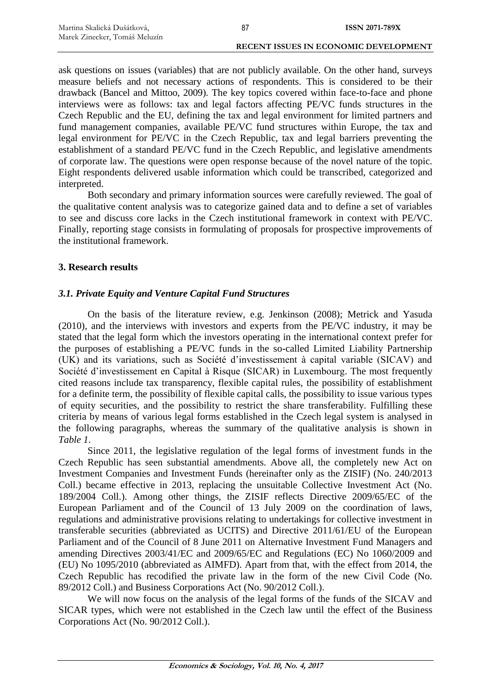ask questions on issues (variables) that are not publicly available. On the other hand, surveys measure beliefs and not necessary actions of respondents. This is considered to be their drawback (Bancel and Mittoo, 2009). The key topics covered within face-to-face and phone interviews were as follows: tax and legal factors affecting PE/VC funds structures in the Czech Republic and the EU, defining the tax and legal environment for limited partners and fund management companies, available PE/VC fund structures within Europe, the tax and legal environment for PE/VC in the Czech Republic, tax and legal barriers preventing the establishment of a standard PE/VC fund in the Czech Republic, and legislative amendments of corporate law. The questions were open response because of the novel nature of the topic. Eight respondents delivered usable information which could be transcribed, categorized and interpreted.

Both secondary and primary information sources were carefully reviewed. The goal of the qualitative content analysis was to categorize gained data and to define a set of variables to see and discuss core lacks in the Czech institutional framework in context with PE/VC. Finally, reporting stage consists in formulating of proposals for prospective improvements of the institutional framework.

## **3. Research results**

## *3.1. Private Equity and Venture Capital Fund Structures*

On the basis of the literature review, e.g. Jenkinson (2008); Metrick and Yasuda (2010), and the interviews with investors and experts from the PE/VC industry, it may be stated that the legal form which the investors operating in the international context prefer for the purposes of establishing a PE/VC funds in the so-called Limited Liability Partnership (UK) and its variations, such as Société d'investissement à capital variable (SICAV) and Société d'investissement en Capital à Risque (SICAR) in Luxembourg. The most frequently cited reasons include tax transparency, flexible capital rules, the possibility of establishment for a definite term, the possibility of flexible capital calls, the possibility to issue various types of equity securities, and the possibility to restrict the share transferability. Fulfilling these criteria by means of various legal forms established in the Czech legal system is analysed in the following paragraphs, whereas the summary of the qualitative analysis is shown in *Table 1*.

Since 2011, the legislative regulation of the legal forms of investment funds in the Czech Republic has seen substantial amendments. Above all, the completely new Act on Investment Companies and Investment Funds (hereinafter only as the ZISIF) (No. 240/2013 Coll.) became effective in 2013, replacing the unsuitable Collective Investment Act (No. 189/2004 Coll.). Among other things, the ZISIF reflects Directive 2009/65/EC of the European Parliament and of the Council of 13 July 2009 on the coordination of laws, regulations and administrative provisions relating to undertakings for collective investment in transferable securities (abbreviated as UCITS) and Directive 2011/61/EU of the European Parliament and of the Council of 8 June 2011 on Alternative Investment Fund Managers and amending Directives 2003/41/EC and 2009/65/EC and Regulations (EC) No 1060/2009 and (EU) No 1095/2010 (abbreviated as AIMFD). Apart from that, with the effect from 2014, the Czech Republic has recodified the private law in the form of the new Civil Code (No. 89/2012 Coll.) and Business Corporations Act (No. 90/2012 Coll.).

We will now focus on the analysis of the legal forms of the funds of the SICAV and SICAR types, which were not established in the Czech law until the effect of the Business Corporations Act (No. 90/2012 Coll.).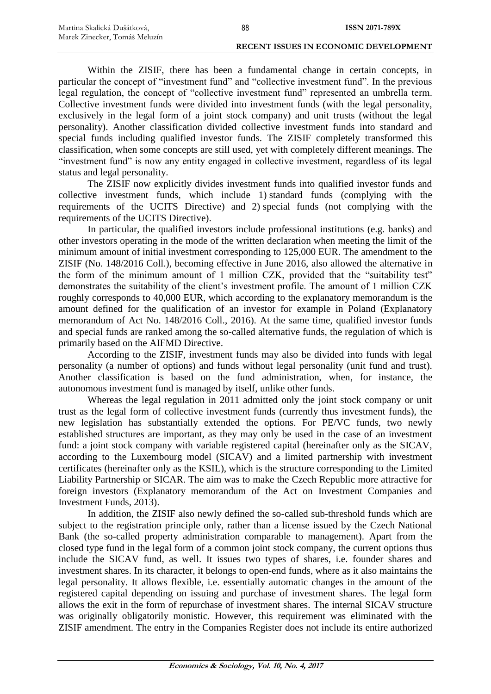| Martina Skalická Dušátková,   | 88 | <b>ISSN 2071-789X</b>                        |
|-------------------------------|----|----------------------------------------------|
| Marek Zinecker, Tomáš Meluzín |    |                                              |
|                               |    | <b>RECENT ISSUES IN ECONOMIC DEVELOPMENT</b> |

Within the ZISIF, there has been a fundamental change in certain concepts, in particular the concept of "investment fund" and "collective investment fund". In the previous legal regulation, the concept of "collective investment fund" represented an umbrella term. Collective investment funds were divided into investment funds (with the legal personality, exclusively in the legal form of a joint stock company) and unit trusts (without the legal personality). Another classification divided collective investment funds into standard and special funds including qualified investor funds. The ZISIF completely transformed this classification, when some concepts are still used, yet with completely different meanings. The "investment fund" is now any entity engaged in collective investment, regardless of its legal status and legal personality.

The ZISIF now explicitly divides investment funds into qualified investor funds and collective investment funds, which include 1) standard funds (complying with the requirements of the UCITS Directive) and 2) special funds (not complying with the requirements of the UCITS Directive).

In particular, the qualified investors include professional institutions (e.g. banks) and other investors operating in the mode of the written declaration when meeting the limit of the minimum amount of initial investment corresponding to 125,000 EUR. The amendment to the ZISIF (No. 148/2016 Coll.), becoming effective in June 2016, also allowed the alternative in the form of the minimum amount of 1 million CZK, provided that the "suitability test" demonstrates the suitability of the client's investment profile. The amount of 1 million CZK roughly corresponds to 40,000 EUR, which according to the explanatory memorandum is the amount defined for the qualification of an investor for example in Poland (Explanatory memorandum of Act No. 148/2016 Coll., 2016). At the same time, qualified investor funds and special funds are ranked among the so-called alternative funds, the regulation of which is primarily based on the AIFMD Directive.

According to the ZISIF, investment funds may also be divided into funds with legal personality (a number of options) and funds without legal personality (unit fund and trust). Another classification is based on the fund administration, when, for instance, the autonomous investment fund is managed by itself, unlike other funds.

Whereas the legal regulation in 2011 admitted only the joint stock company or unit trust as the legal form of collective investment funds (currently thus investment funds), the new legislation has substantially extended the options. For PE/VC funds, two newly established structures are important, as they may only be used in the case of an investment fund: a joint stock company with variable registered capital (hereinafter only as the SICAV, according to the Luxembourg model (SICAV) and a limited partnership with investment certificates (hereinafter only as the KSIL), which is the structure corresponding to the Limited Liability Partnership or SICAR. The aim was to make the Czech Republic more attractive for foreign investors (Explanatory memorandum of the Act on Investment Companies and Investment Funds, 2013).

In addition, the ZISIF also newly defined the so-called sub-threshold funds which are subject to the registration principle only, rather than a license issued by the Czech National Bank (the so-called property administration comparable to management). Apart from the closed type fund in the legal form of a common joint stock company, the current options thus include the SICAV fund, as well. It issues two types of shares, i.e. founder shares and investment shares. In its character, it belongs to open-end funds, where as it also maintains the legal personality. It allows flexible, i.e. essentially automatic changes in the amount of the registered capital depending on issuing and purchase of investment shares. The legal form allows the exit in the form of repurchase of investment shares. The internal SICAV structure was originally obligatorily monistic. However, this requirement was eliminated with the ZISIF amendment. The entry in the Companies Register does not include its entire authorized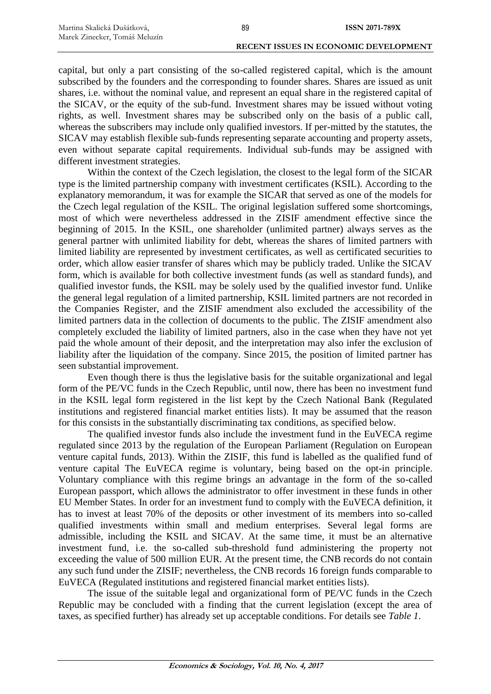capital, but only a part consisting of the so-called registered capital, which is the amount subscribed by the founders and the corresponding to founder shares. Shares are issued as unit shares, i.e. without the nominal value, and represent an equal share in the registered capital of the SICAV, or the equity of the sub-fund. Investment shares may be issued without voting rights, as well. Investment shares may be subscribed only on the basis of a public call, whereas the subscribers may include only qualified investors. If per-mitted by the statutes, the SICAV may establish flexible sub-funds representing separate accounting and property assets, even without separate capital requirements. Individual sub-funds may be assigned with different investment strategies.

Within the context of the Czech legislation, the closest to the legal form of the SICAR type is the limited partnership company with investment certificates (KSIL). According to the explanatory memorandum, it was for example the SICAR that served as one of the models for the Czech legal regulation of the KSIL. The original legislation suffered some shortcomings, most of which were nevertheless addressed in the ZISIF amendment effective since the beginning of 2015. In the KSIL, one shareholder (unlimited partner) always serves as the general partner with unlimited liability for debt, whereas the shares of limited partners with limited liability are represented by investment certificates, as well as certificated securities to order, which allow easier transfer of shares which may be publicly traded. Unlike the SICAV form, which is available for both collective investment funds (as well as standard funds), and qualified investor funds, the KSIL may be solely used by the qualified investor fund. Unlike the general legal regulation of a limited partnership, KSIL limited partners are not recorded in the Companies Register, and the ZISIF amendment also excluded the accessibility of the limited partners data in the collection of documents to the public. The ZISIF amendment also completely excluded the liability of limited partners, also in the case when they have not yet paid the whole amount of their deposit, and the interpretation may also infer the exclusion of liability after the liquidation of the company. Since 2015, the position of limited partner has seen substantial improvement.

Even though there is thus the legislative basis for the suitable organizational and legal form of the PE/VC funds in the Czech Republic, until now, there has been no investment fund in the KSIL legal form registered in the list kept by the Czech National Bank (Regulated institutions and registered financial market entities lists). It may be assumed that the reason for this consists in the substantially discriminating tax conditions, as specified below.

The qualified investor funds also include the investment fund in the EuVECA regime regulated since 2013 by the regulation of the European Parliament (Regulation on European venture capital funds, 2013). Within the ZISIF, this fund is labelled as the qualified fund of venture capital The EuVECA regime is voluntary, being based on the opt-in principle. Voluntary compliance with this regime brings an advantage in the form of the so-called European passport, which allows the administrator to offer investment in these funds in other EU Member States. In order for an investment fund to comply with the EuVECA definition, it has to invest at least 70% of the deposits or other investment of its members into so-called qualified investments within small and medium enterprises. Several legal forms are admissible, including the KSIL and SICAV. At the same time, it must be an alternative investment fund, i.e. the so-called sub-threshold fund administering the property not exceeding the value of 500 million EUR. At the present time, the CNB records do not contain any such fund under the ZISIF; nevertheless, the CNB records 16 foreign funds comparable to EuVECA (Regulated institutions and registered financial market entities lists).

The issue of the suitable legal and organizational form of PE/VC funds in the Czech Republic may be concluded with a finding that the current legislation (except the area of taxes, as specified further) has already set up acceptable conditions. For details see *Table 1*.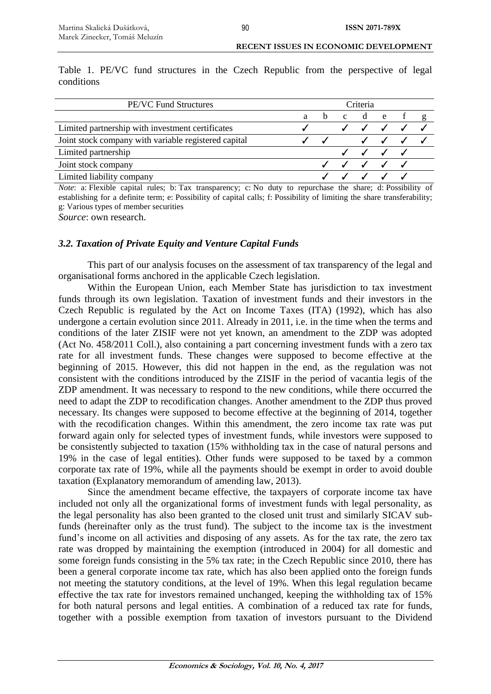Table 1. PE/VC fund structures in the Czech Republic from the perspective of legal conditions

| <b>PE/VC Fund Structures</b>                         | Criteria |              |              |                           |  |  |
|------------------------------------------------------|----------|--------------|--------------|---------------------------|--|--|
|                                                      | a        | <sub>b</sub> | $\mathbf{c}$ | d e                       |  |  |
| Limited partnership with investment certificates     |          |              |              | $\checkmark$ $\checkmark$ |  |  |
| Joint stock company with variable registered capital |          |              |              | $\checkmark$ $\checkmark$ |  |  |
| Limited partnership                                  |          |              |              |                           |  |  |
| Joint stock company                                  |          |              |              |                           |  |  |
| Limited liability company                            |          |              |              |                           |  |  |

*Note*: a: Flexible capital rules; b: Tax transparency; c: No duty to repurchase the share; d: Possibility of establishing for a definite term; e: Possibility of capital calls; f: Possibility of limiting the share transferability; g: Various types of member securities

*Source*: own research.

#### *3.2. Taxation of Private Equity and Venture Capital Funds*

This part of our analysis focuses on the assessment of tax transparency of the legal and organisational forms anchored in the applicable Czech legislation.

Within the European Union, each Member State has jurisdiction to tax investment funds through its own legislation. Taxation of investment funds and their investors in the Czech Republic is regulated by the Act on Income Taxes (ITA) (1992), which has also undergone a certain evolution since 2011. Already in 2011, i.e. in the time when the terms and conditions of the later ZISIF were not yet known, an amendment to the ZDP was adopted (Act No. 458/2011 Coll.), also containing a part concerning investment funds with a zero tax rate for all investment funds. These changes were supposed to become effective at the beginning of 2015. However, this did not happen in the end, as the regulation was not consistent with the conditions introduced by the ZISIF in the period of vacantia legis of the ZDP amendment. It was necessary to respond to the new conditions, while there occurred the need to adapt the ZDP to recodification changes. Another amendment to the ZDP thus proved necessary. Its changes were supposed to become effective at the beginning of 2014, together with the recodification changes. Within this amendment, the zero income tax rate was put forward again only for selected types of investment funds, while investors were supposed to be consistently subjected to taxation (15% withholding tax in the case of natural persons and 19% in the case of legal entities). Other funds were supposed to be taxed by a common corporate tax rate of 19%, while all the payments should be exempt in order to avoid double taxation (Explanatory memorandum of amending law, 2013).

Since the amendment became effective, the taxpayers of corporate income tax have included not only all the organizational forms of investment funds with legal personality, as the legal personality has also been granted to the closed unit trust and similarly SICAV subfunds (hereinafter only as the trust fund). The subject to the income tax is the investment fund's income on all activities and disposing of any assets. As for the tax rate, the zero tax rate was dropped by maintaining the exemption (introduced in 2004) for all domestic and some foreign funds consisting in the 5% tax rate; in the Czech Republic since 2010, there has been a general corporate income tax rate, which has also been applied onto the foreign funds not meeting the statutory conditions, at the level of 19%. When this legal regulation became effective the tax rate for investors remained unchanged, keeping the withholding tax of 15% for both natural persons and legal entities. A combination of a reduced tax rate for funds, together with a possible exemption from taxation of investors pursuant to the Dividend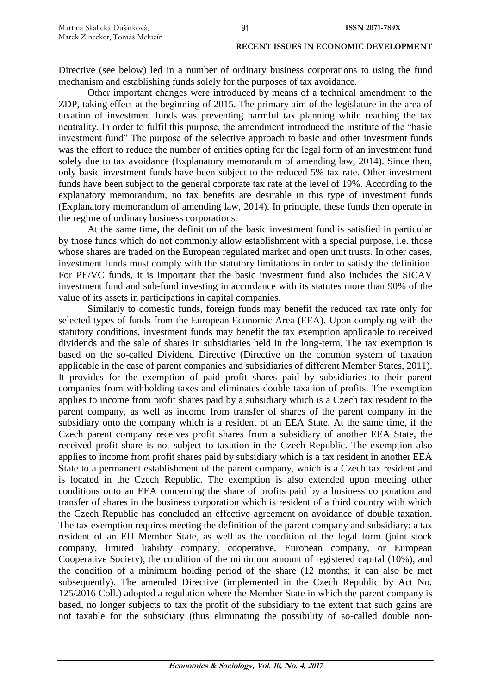Directive (see below) led in a number of ordinary business corporations to using the fund mechanism and establishing funds solely for the purposes of tax avoidance.

Other important changes were introduced by means of a technical amendment to the ZDP, taking effect at the beginning of 2015. The primary aim of the legislature in the area of taxation of investment funds was preventing harmful tax planning while reaching the tax neutrality. In order to fulfil this purpose, the amendment introduced the institute of the "basic investment fund" The purpose of the selective approach to basic and other investment funds was the effort to reduce the number of entities opting for the legal form of an investment fund solely due to tax avoidance (Explanatory memorandum of amending law, 2014). Since then, only basic investment funds have been subject to the reduced 5% tax rate. Other investment funds have been subject to the general corporate tax rate at the level of 19%. According to the explanatory memorandum, no tax benefits are desirable in this type of investment funds (Explanatory memorandum of amending law, 2014). In principle, these funds then operate in the regime of ordinary business corporations.

At the same time, the definition of the basic investment fund is satisfied in particular by those funds which do not commonly allow establishment with a special purpose, i.e. those whose shares are traded on the European regulated market and open unit trusts. In other cases, investment funds must comply with the statutory limitations in order to satisfy the definition. For PE/VC funds, it is important that the basic investment fund also includes the SICAV investment fund and sub-fund investing in accordance with its statutes more than 90% of the value of its assets in participations in capital companies.

Similarly to domestic funds, foreign funds may benefit the reduced tax rate only for selected types of funds from the European Economic Area (EEA). Upon complying with the statutory conditions, investment funds may benefit the tax exemption applicable to received dividends and the sale of shares in subsidiaries held in the long-term. The tax exemption is based on the so-called Dividend Directive (Directive on the common system of taxation applicable in the case of parent companies and subsidiaries of different Member States, 2011). It provides for the exemption of paid profit shares paid by subsidiaries to their parent companies from withholding taxes and eliminates double taxation of profits. The exemption applies to income from profit shares paid by a subsidiary which is a Czech tax resident to the parent company, as well as income from transfer of shares of the parent company in the subsidiary onto the company which is a resident of an EEA State. At the same time, if the Czech parent company receives profit shares from a subsidiary of another EEA State, the received profit share is not subject to taxation in the Czech Republic. The exemption also applies to income from profit shares paid by subsidiary which is a tax resident in another EEA State to a permanent establishment of the parent company, which is a Czech tax resident and is located in the Czech Republic. The exemption is also extended upon meeting other conditions onto an EEA concerning the share of profits paid by a business corporation and transfer of shares in the business corporation which is resident of a third country with which the Czech Republic has concluded an effective agreement on avoidance of double taxation. The tax exemption requires meeting the definition of the parent company and subsidiary: a tax resident of an EU Member State, as well as the condition of the legal form (joint stock company, limited liability company, cooperative, European company, or European Cooperative Society), the condition of the minimum amount of registered capital (10%), and the condition of a minimum holding period of the share (12 months; it can also be met subsequently). The amended Directive (implemented in the Czech Republic by Act No. 125/2016 Coll.) adopted a regulation where the Member State in which the parent company is based, no longer subjects to tax the profit of the subsidiary to the extent that such gains are not taxable for the subsidiary (thus eliminating the possibility of so-called double non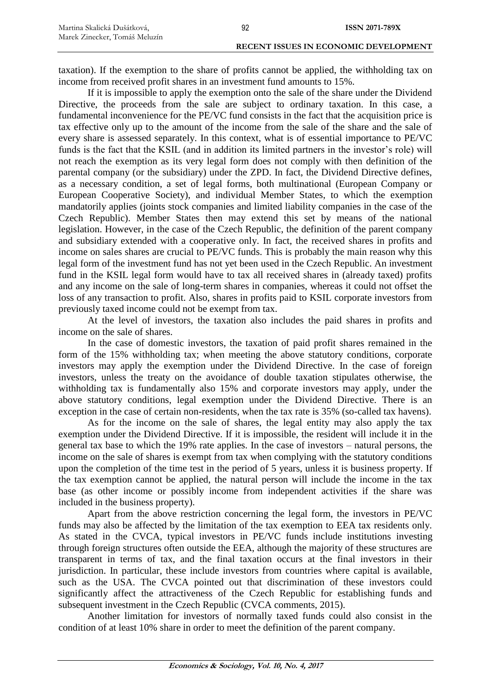taxation). If the exemption to the share of profits cannot be applied, the withholding tax on income from received profit shares in an investment fund amounts to 15%.

If it is impossible to apply the exemption onto the sale of the share under the Dividend Directive, the proceeds from the sale are subject to ordinary taxation. In this case, a fundamental inconvenience for the PE/VC fund consists in the fact that the acquisition price is tax effective only up to the amount of the income from the sale of the share and the sale of every share is assessed separately. In this context, what is of essential importance to PE/VC funds is the fact that the KSIL (and in addition its limited partners in the investor's role) will not reach the exemption as its very legal form does not comply with then definition of the parental company (or the subsidiary) under the ZPD. In fact, the Dividend Directive defines, as a necessary condition, a set of legal forms, both multinational (European Company or European Cooperative Society), and individual Member States, to which the exemption mandatorily applies (joints stock companies and limited liability companies in the case of the Czech Republic). Member States then may extend this set by means of the national legislation. However, in the case of the Czech Republic, the definition of the parent company and subsidiary extended with a cooperative only. In fact, the received shares in profits and income on sales shares are crucial to PE/VC funds. This is probably the main reason why this legal form of the investment fund has not yet been used in the Czech Republic. An investment fund in the KSIL legal form would have to tax all received shares in (already taxed) profits and any income on the sale of long-term shares in companies, whereas it could not offset the loss of any transaction to profit. Also, shares in profits paid to KSIL corporate investors from previously taxed income could not be exempt from tax.

At the level of investors, the taxation also includes the paid shares in profits and income on the sale of shares.

In the case of domestic investors, the taxation of paid profit shares remained in the form of the 15% withholding tax; when meeting the above statutory conditions, corporate investors may apply the exemption under the Dividend Directive. In the case of foreign investors, unless the treaty on the avoidance of double taxation stipulates otherwise, the withholding tax is fundamentally also 15% and corporate investors may apply, under the above statutory conditions, legal exemption under the Dividend Directive. There is an exception in the case of certain non-residents, when the tax rate is 35% (so-called tax havens).

As for the income on the sale of shares, the legal entity may also apply the tax exemption under the Dividend Directive. If it is impossible, the resident will include it in the general tax base to which the 19% rate applies. In the case of investors – natural persons, the income on the sale of shares is exempt from tax when complying with the statutory conditions upon the completion of the time test in the period of 5 years, unless it is business property. If the tax exemption cannot be applied, the natural person will include the income in the tax base (as other income or possibly income from independent activities if the share was included in the business property).

Apart from the above restriction concerning the legal form, the investors in PE/VC funds may also be affected by the limitation of the tax exemption to EEA tax residents only. As stated in the CVCA, typical investors in PE/VC funds include institutions investing through foreign structures often outside the EEA, although the majority of these structures are transparent in terms of tax, and the final taxation occurs at the final investors in their jurisdiction. In particular, these include investors from countries where capital is available, such as the USA. The CVCA pointed out that discrimination of these investors could significantly affect the attractiveness of the Czech Republic for establishing funds and subsequent investment in the Czech Republic (CVCA comments, 2015).

Another limitation for investors of normally taxed funds could also consist in the condition of at least 10% share in order to meet the definition of the parent company.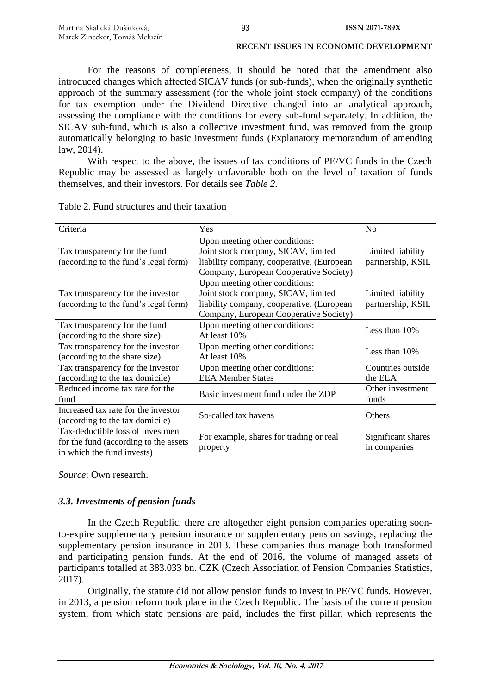**RECENT ISSUES IN ECONOMIC DEVELOPMENT**

For the reasons of completeness, it should be noted that the amendment also introduced changes which affected SICAV funds (or sub-funds), when the originally synthetic approach of the summary assessment (for the whole joint stock company) of the conditions for tax exemption under the Dividend Directive changed into an analytical approach, assessing the compliance with the conditions for every sub-fund separately. In addition, the SICAV sub-fund, which is also a collective investment fund, was removed from the group automatically belonging to basic investment funds (Explanatory memorandum of amending law, 2014).

With respect to the above, the issues of tax conditions of PE/VC funds in the Czech Republic may be assessed as largely unfavorable both on the level of taxation of funds themselves, and their investors. For details see *Table 2*.

| Criteria                                                                                                 | Yes                                                                                                                                                          | N <sub>o</sub>                         |  |
|----------------------------------------------------------------------------------------------------------|--------------------------------------------------------------------------------------------------------------------------------------------------------------|----------------------------------------|--|
| Tax transparency for the fund<br>(according to the fund's legal form)                                    | Upon meeting other conditions:<br>Joint stock company, SICAV, limited<br>liability company, cooperative, (European<br>Company, European Cooperative Society) | Limited liability<br>partnership, KSIL |  |
| Tax transparency for the investor<br>(according to the fund's legal form)                                | Upon meeting other conditions:<br>Joint stock company, SICAV, limited<br>liability company, cooperative, (European<br>Company, European Cooperative Society) | Limited liability<br>partnership, KSIL |  |
| Tax transparency for the fund<br>(according to the share size)                                           | Upon meeting other conditions:<br>At least 10%                                                                                                               | Less than $10\%$                       |  |
| Tax transparency for the investor<br>(according to the share size)                                       | Upon meeting other conditions:<br>At least 10%                                                                                                               | Less than 10%                          |  |
| Tax transparency for the investor<br>(according to the tax domicile)                                     | Upon meeting other conditions:<br><b>EEA Member States</b>                                                                                                   | Countries outside<br>the EEA           |  |
| Reduced income tax rate for the<br>fund                                                                  | Basic investment fund under the ZDP                                                                                                                          | Other investment<br>funds              |  |
| Increased tax rate for the investor<br>(according to the tax domicile)                                   | So-called tax havens                                                                                                                                         | Others                                 |  |
| Tax-deductible loss of investment<br>for the fund (according to the assets<br>in which the fund invests) | For example, shares for trading or real<br>property                                                                                                          | Significant shares<br>in companies     |  |

Table 2. Fund structures and their taxation

*Source*: Own research.

## *3.3. Investments of pension funds*

In the Czech Republic, there are altogether eight pension companies operating soonto-expire supplementary pension insurance or supplementary pension savings, replacing the supplementary pension insurance in 2013. These companies thus manage both transformed and participating pension funds. At the end of 2016, the volume of managed assets of participants totalled at 383.033 bn. CZK (Czech Association of Pension Companies Statistics, 2017).

Originally, the statute did not allow pension funds to invest in PE/VC funds. However, in 2013, a pension reform took place in the Czech Republic. The basis of the current pension system, from which state pensions are paid, includes the first pillar, which represents the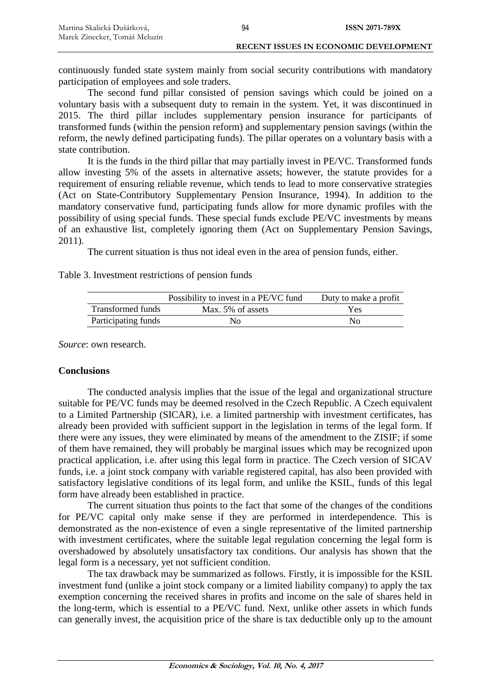continuously funded state system mainly from social security contributions with mandatory participation of employees and sole traders.

The second fund pillar consisted of pension savings which could be joined on a voluntary basis with a subsequent duty to remain in the system. Yet, it was discontinued in 2015. The third pillar includes supplementary pension insurance for participants of transformed funds (within the pension reform) and supplementary pension savings (within the reform, the newly defined participating funds). The pillar operates on a voluntary basis with a state contribution.

It is the funds in the third pillar that may partially invest in PE/VC. Transformed funds allow investing 5% of the assets in alternative assets; however, the statute provides for a requirement of ensuring reliable revenue, which tends to lead to more conservative strategies (Act on State-Contributory Supplementary Pension Insurance, 1994). In addition to the mandatory conservative fund, participating funds allow for more dynamic profiles with the possibility of using special funds. These special funds exclude PE/VC investments by means of an exhaustive list, completely ignoring them (Act on Supplementary Pension Savings, 2011).

The current situation is thus not ideal even in the area of pension funds, either.

### Table 3. Investment restrictions of pension funds

|                          | Possibility to invest in a PE/VC fund | Duty to make a profit |
|--------------------------|---------------------------------------|-----------------------|
| <b>Transformed funds</b> | Max. 5% of assets                     | Yes                   |
| Participating funds      | Nο                                    | Nο                    |

*Source*: own research.

# **Conclusions**

The conducted analysis implies that the issue of the legal and organizational structure suitable for PE/VC funds may be deemed resolved in the Czech Republic. A Czech equivalent to a Limited Partnership (SICAR), i.e. a limited partnership with investment certificates, has already been provided with sufficient support in the legislation in terms of the legal form. If there were any issues, they were eliminated by means of the amendment to the ZISIF; if some of them have remained, they will probably be marginal issues which may be recognized upon practical application, i.e. after using this legal form in practice. The Czech version of SICAV funds, i.e. a joint stock company with variable registered capital, has also been provided with satisfactory legislative conditions of its legal form, and unlike the KSIL, funds of this legal form have already been established in practice.

The current situation thus points to the fact that some of the changes of the conditions for PE/VC capital only make sense if they are performed in interdependence. This is demonstrated as the non-existence of even a single representative of the limited partnership with investment certificates, where the suitable legal regulation concerning the legal form is overshadowed by absolutely unsatisfactory tax conditions. Our analysis has shown that the legal form is a necessary, yet not sufficient condition.

The tax drawback may be summarized as follows. Firstly, it is impossible for the KSIL investment fund (unlike a joint stock company or a limited liability company) to apply the tax exemption concerning the received shares in profits and income on the sale of shares held in the long-term, which is essential to a PE/VC fund. Next, unlike other assets in which funds can generally invest, the acquisition price of the share is tax deductible only up to the amount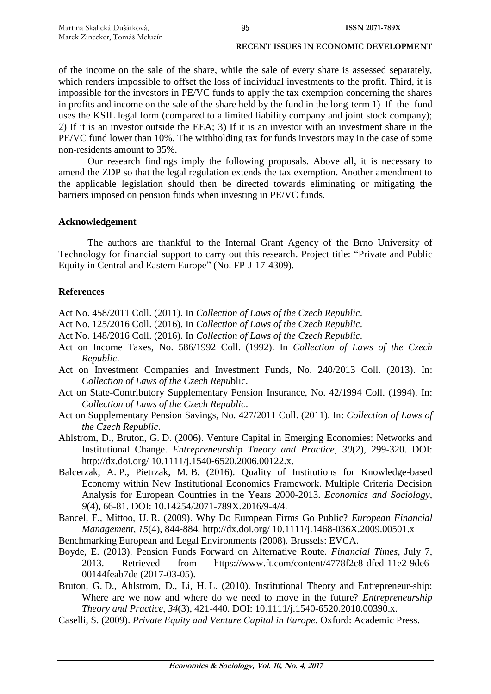of the income on the sale of the share, while the sale of every share is assessed separately, which renders impossible to offset the loss of individual investments to the profit. Third, it is impossible for the investors in PE/VC funds to apply the tax exemption concerning the shares in profits and income on the sale of the share held by the fund in the long-term 1) If the fund uses the KSIL legal form (compared to a limited liability company and joint stock company); 2) If it is an investor outside the EEA; 3) If it is an investor with an investment share in the PE/VC fund lower than 10%. The withholding tax for funds investors may in the case of some non-residents amount to 35%.

Our research findings imply the following proposals. Above all, it is necessary to amend the ZDP so that the legal regulation extends the tax exemption. Another amendment to the applicable legislation should then be directed towards eliminating or mitigating the barriers imposed on pension funds when investing in PE/VC funds.

#### **Acknowledgement**

The authors are thankful to the Internal Grant Agency of the Brno University of Technology for financial support to carry out this research. Project title: "Private and Public Equity in Central and Eastern Europe" (No. FP-J-17-4309).

#### **References**

Act No. 458/2011 Coll. (2011). In *Collection of Laws of the Czech Republic*.

- Act No. 125/2016 Coll. (2016). In *Collection of Laws of the Czech Republic*.
- Act No. 148/2016 Coll. (2016). In *Collection of Laws of the Czech Republic*.
- Act on Income Taxes, No. 586/1992 Coll. (1992). In *Collection of Laws of the Czech Republic*.
- Act on Investment Companies and Investment Funds, No. 240/2013 Coll. (2013). In: *Collection of Laws of the Czech Repu*blic.
- Act on State-Contributory Supplementary Pension Insurance, No. 42/1994 Coll. (1994). In: *Collection of Laws of the Czech Republic*.
- Act on Supplementary Pension Savings, No. 427/2011 Coll. (2011). In: *Collection of Laws of the Czech Republic*.
- Ahlstrom, D., Bruton, G. D. (2006). Venture Capital in Emerging Economies: Networks and Institutional Change. *Entrepreneurship Theory and Practice*, *30*(2), 299-320. DOI: http://dx.doi.org/ 10.1111/j.1540-6520.2006.00122.x.
- Balcerzak, A. P., Pietrzak, M. B. (2016). Quality of Institutions for Knowledge-based Economy within New Institutional Economics Framework. Multiple Criteria Decision Analysis for European Countries in the Years 2000-2013. *Economics and Sociology*, *9*(4), 66-81. DOI: 10.14254/2071-789X.2016/9-4/4.
- Bancel, F., Mittoo, U. R. (2009). Why Do European Firms Go Public? *European Financial Management*, *15*(4), 844-884. http://dx.doi.org/ 10.1111/j.1468-036X.2009.00501.x
- Benchmarking European and Legal Environments (2008). Brussels: EVCA.
- Boyde, E. (2013). Pension Funds Forward on Alternative Route. *Financial Times*, July 7, 2013. Retrieved from https://www.ft.com/content/4778f2c8-dfed-11e2-9de6- 00144feab7de (2017-03-05).
- Bruton, G. D., Ahlstrom, D., Li, H. L. (2010). Institutional Theory and Entrepreneur-ship: Where are we now and where do we need to move in the future? *Entrepreneurship Theory and Practice*, *34*(3), 421-440. DOI: 10.1111/j.1540-6520.2010.00390.x.
- Caselli, S. (2009). *Private Equity and Venture Capital in Europe*. Oxford: Academic Press.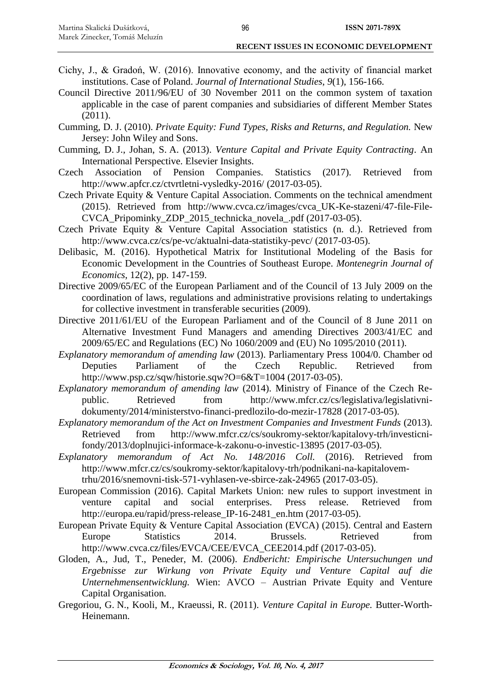- Cichy, J., & Gradoń, W. (2016). Innovative economy, and the activity of financial market institutions. Case of Poland. *Journal of International Studies*, *9*(1), 156-166.
- Council Directive 2011/96/EU of 30 November 2011 on the common system of taxation applicable in the case of parent companies and subsidiaries of different Member States  $(2011).$
- Cumming, D. J. (2010). *Private Equity: Fund Types, Risks and Returns, and Regulation.* New Jersey: John Wiley and Sons.
- Cumming, D. J., Johan, S. A. (2013). *Venture Capital and Private Equity Contracting*. An International Perspective. Elsevier Insights.
- Czech Association of Pension Companies. Statistics (2017). Retrieved from http://www.apfcr.cz/ctvrtletni-vysledky-2016/ (2017-03-05).
- Czech Private Equity & Venture Capital Association. Comments on the technical amendment (2015). Retrieved from http://www.cvca.cz/images/cvca\_UK-Ke-stazeni/47-file-File-CVCA\_Pripominky\_ZDP\_2015\_technicka\_novela\_.pdf (2017-03-05).
- Czech Private Equity & Venture Capital Association statistics (n. d.). Retrieved from http://www.cvca.cz/cs/pe-vc/aktualni-data-statistiky-pevc/ (2017-03-05).
- Delibasic, M. (2016). Hypothetical Matrix for Institutional Modeling of the Basis for Economic Development in the Countries of Southeast Europe. *Montenegrin Journal of Economics*, 12(2), pp. 147-159.
- Directive 2009/65/EC of the European Parliament and of the Council of 13 July 2009 on the coordination of laws, regulations and administrative provisions relating to undertakings for collective investment in transferable securities (2009).
- Directive 2011/61/EU of the European Parliament and of the Council of 8 June 2011 on Alternative Investment Fund Managers and amending Directives 2003/41/EC and 2009/65/EC and Regulations (EC) No 1060/2009 and (EU) No 1095/2010 (2011).
- *Explanatory memorandum of amending law* (2013). Parliamentary Press 1004/0. Chamber od Deputies Parliament of the Czech Republic. Retrieved from http://www.psp.cz/sqw/historie.sqw?O=6&T=1004 (2017-03-05).
- *Explanatory memorandum of amending law* (2014). Ministry of Finance of the Czech Republic. Retrieved from http://www.mfcr.cz/cs/legislativa/legislativnidokumenty/2014/ministerstvo-financi-predlozilo-do-mezir-17828 (2017-03-05).
- *Explanatory memorandum of the Act on Investment Companies and Investment Funds* (2013). Retrieved from http://www.mfcr.cz/cs/soukromy-sektor/kapitalovy-trh/investicnifondy/2013/doplnujici-informace-k-zakonu-o-investic-13895 (2017-03-05).
- *Explanatory memorandum of Act No. 148/2016 Coll.* (2016). Retrieved from http://www.mfcr.cz/cs/soukromy-sektor/kapitalovy-trh/podnikani-na-kapitalovemtrhu/2016/snemovni-tisk-571-vyhlasen-ve-sbirce-zak-24965 (2017-03-05).
- European Commission (2016). Capital Markets Union: new rules to support investment in venture capital and social enterprises. Press release. Retrieved from http://europa.eu/rapid/press-release\_IP-16-2481\_en.htm (2017-03-05).
- European Private Equity & Venture Capital Association (EVCA) (2015). Central and Eastern Europe Statistics 2014. Brussels. Retrieved from http://www.cvca.cz/files/EVCA/CEE/EVCA\_CEE2014.pdf (2017-03-05).
- Gloden, A., Jud, T., Peneder, M. (2006). *Endbericht: Empirische Untersuchungen und Ergebnisse zur Wirkung von Private Equity und Venture Capital auf die Unternehmensentwicklung.* Wien: AVCO – Austrian Private Equity and Venture Capital Organisation.
- Gregoriou, G. N., Kooli, M., Kraeussi, R. (2011). *Venture Capital in Europe.* Butter-Worth-Heinemann.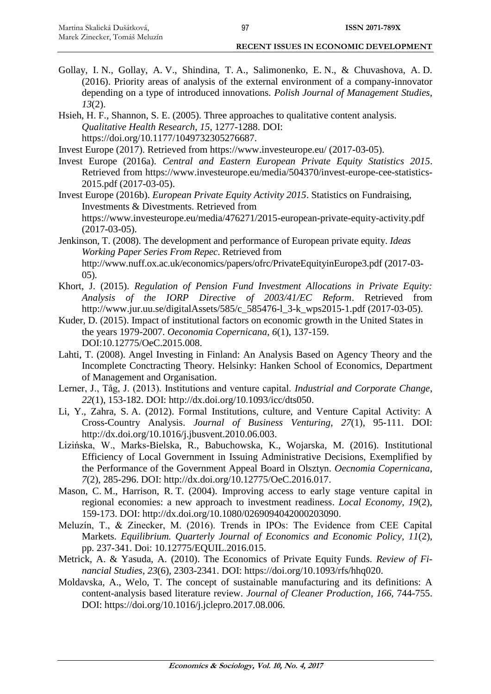- Gollay, I. N., Gollay, A. V., Shindina, T. A., Salimonenko, E. N., & Chuvashova, A. D. (2016). Priority areas of analysis of the external environment of a company-innovator depending on a type of introduced innovations. *Polish Journal of Management Studies*, *13*(2).
- Hsieh, H. F., Shannon, S. E. (2005). Three approaches to qualitative content analysis. *Qualitative Health Research*, *15*, 1277-1288. DOI: https://doi.org/10.1177/1049732305276687.
- Invest Europe (2017). Retrieved from https://www.investeurope.eu/ (2017-03-05).
- Invest Europe (2016a). *Central and Eastern European Private Equity Statistics 2015*. Retrieved from https://www.investeurope.eu/media/504370/invest-europe-cee-statistics-2015.pdf (2017-03-05).
- Invest Europe (2016b). *European Private Equity Activity 2015*. Statistics on Fundraising, Investments & Divestments. Retrieved from https://www.investeurope.eu/media/476271/2015-european-private-equity-activity.pdf (2017-03-05).
- Jenkinson, T. (2008). The development and performance of European private equity. *Ideas Working Paper Series From Repec*. Retrieved from http://www.nuff.ox.ac.uk/economics/papers/ofrc/PrivateEquityinEurope3.pdf (2017-03- 05).
- Khort, J. (2015). *Regulation of Pension Fund Investment Allocations in Private Equity: Analysis of the IORP Directive of 2003/41/EC Reform*. Retrieved from http://www.jur.uu.se/digitalAssets/585/c\_585476-l\_3-k\_wps2015-1.pdf (2017-03-05).
- Kuder, D. (2015). Impact of institutional factors on economic growth in the United States in the years 1979-2007. *Oeconomia Copernicana*, *6*(1), 137-159. DOI:10.12775/OeC.2015.008.
- Lahti, T. (2008). Angel Investing in Finland: An Analysis Based on Agency Theory and the Incomplete Conctracting Theory. Helsinky: Hanken School of Economics, Department of Management and Organisation.
- Lerner, J., Tåg, J. (2013). Institutions and venture capital. *Industrial and Corporate Change*, *22*(1), 153-182. DOI: http://dx.doi.org/10.1093/icc/dts050.
- Li, Y., Zahra, S. A. (2012). Formal Institutions, culture, and Venture Capital Activity: A Cross-Country Analysis. *Journal of Business Venturing*, *27*(1), 95-111. DOI: http://dx.doi.org/10.1016/j.jbusvent.2010.06.003.
- Lizińska, W., Marks-Bielska, R., Babuchowska, K., Wojarska, M. (2016). Institutional Efficiency of Local Government in Issuing Administrative Decisions, Exemplified by the Performance of the Government Appeal Board in Olsztyn. *Oecnomia Copernicana*, *7*(2), 285-296. DOI: http://dx.doi.org/10.12775/OeC.2016.017.
- Mason, C. M., Harrison, R. T. (2004). Improving access to early stage venture capital in regional economies: a new approach to investment readiness. *Local Economy*, *19*(2), 159-173. DOI: [http://dx.doi.org/10.1080/0269094042000203090.](http://dx.doi.org/10.1080/0269094042000203090)
- Meluzín, T., & Zinecker, M. (2016). Trends in IPOs: The Evidence from CEE Capital Markets. *Equilibrium. Quarterly Journal of Economics and Economic Policy*, *11*(2), pp. 237-341. Doi: 10.12775/EQUIL.2016.015.
- Metrick, A. & Yasuda, A. (2010). The Economics of Private Equity Funds. *Review of Financial Studies*, *23*(6), 2303-2341. DOI: https://doi.org/10.1093/rfs/hhq020.
- Moldavska, A., Welo, T. The concept of sustainable manufacturing and its definitions: A content-analysis based literature review. *Journal of Cleaner Production*, *166*, 744-755. DOI: https://doi.org/10.1016/j.jclepro.2017.08.006.

97